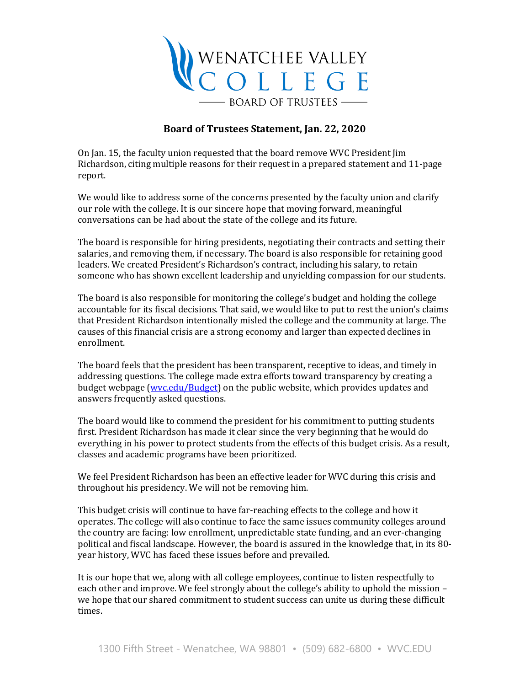

## **Board of Trustees Statement, Jan. 22, 2020**

On Jan. 15, the faculty union requested that the board remove WVC President Jim Richardson, citing multiple reasons for their request in a prepared statement and 11-page report.

We would like to address some of the concerns presented by the faculty union and clarify our role with the college. It is our sincere hope that moving forward, meaningful conversations can be had about the state of the college and its future.

The board is responsible for hiring presidents, negotiating their contracts and setting their salaries, and removing them, if necessary. The board is also responsible for retaining good leaders. We created President's Richardson's contract, including his salary, to retain someone who has shown excellent leadership and unyielding compassion for our students.

The board is also responsible for monitoring the college's budget and holding the college accountable for its fiscal decisions. That said, we would like to put to rest the union's claims that President Richardson intentionally misled the college and the community at large. The causes of this financial crisis are a strong economy and larger than expected declines in enrollment.

The board feels that the president has been transparent, receptive to ideas, and timely in addressing questions. The college made extra efforts toward transparency by creating a budget webpage [\(wvc.edu/Budget\)](https://www.wvc.edu/budget) on the public website, which provides updates and answers frequently asked questions.

The board would like to commend the president for his commitment to putting students first. President Richardson has made it clear since the very beginning that he would do everything in his power to protect students from the effects of this budget crisis. As a result, classes and academic programs have been prioritized.

We feel President Richardson has been an effective leader for WVC during this crisis and throughout his presidency. We will not be removing him.

This budget crisis will continue to have far-reaching effects to the college and how it operates. The college will also continue to face the same issues community colleges around the country are facing: low enrollment, unpredictable state funding, and an ever-changing political and fiscal landscape. However, the board is assured in the knowledge that, in its 80 year history, WVC has faced these issues before and prevailed.

It is our hope that we, along with all college employees, continue to listen respectfully to each other and improve. We feel strongly about the college's ability to uphold the mission – we hope that our shared commitment to student success can unite us during these difficult times.